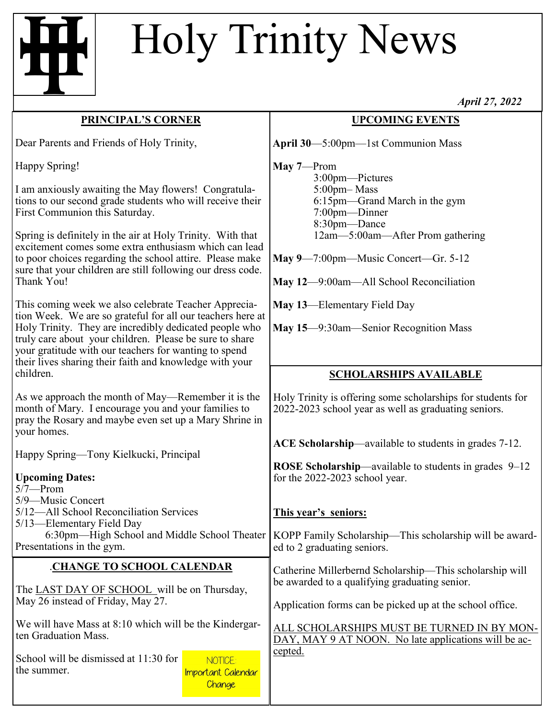## Holy Trinity News

## **PRINCIPAL'S CORNER**

Dear Parents and Friends of Holy Trinity,

Happy Spring!

I am anxiously awaiting the May flowers! Congratulations to our second grade students who will receive their First Communion this Saturday.

Spring is definitely in the air at Holy Trinity. With that excitement comes some extra enthusiasm which can lead to poor choices regarding the school attire. Please make sure that your children are still following our dress code. Thank You!

This coming week we also celebrate Teacher Appreciation Week. We are so grateful for all our teachers here at Holy Trinity. They are incredibly dedicated people who truly care about your children. Please be sure to share your gratitude with our teachers for wanting to spend their lives sharing their faith and knowledge with your children.

As we approach the month of May—Remember it is the month of Mary. I encourage you and your families to pray the Rosary and maybe even set up a Mary Shrine in your homes.

Happy Spring—Tony Kielkucki, Principal

| <b>Upcoming Dates:</b>                                                                                                                                                 |                                                | <b>NOSE SCHOLATSHIP—available to students in grades <math>9-12</math></b>                                      |
|------------------------------------------------------------------------------------------------------------------------------------------------------------------------|------------------------------------------------|----------------------------------------------------------------------------------------------------------------|
| $5/7$ —Prom                                                                                                                                                            |                                                | for the 2022-2023 school year.                                                                                 |
| 5/9-Music Concert<br>5/12—All School Reconciliation Services<br>5/13—Elementary Field Day<br>6:30pm—High School and Middle School Theater<br>Presentations in the gym. |                                                | This year's seniors:<br>KOPP Family Scholarship—This scholarship will be award-<br>ed to 2 graduating seniors. |
| <b>CHANGE TO SCHOOL CALENDAR</b>                                                                                                                                       |                                                | Catherine Millerbernd Scholarship—This scholarship will                                                        |
| The LAST DAY OF SCHOOL will be on Thursday,                                                                                                                            |                                                | be awarded to a qualifying graduating senior.                                                                  |
| May 26 instead of Friday, May 27.                                                                                                                                      |                                                | Application forms can be picked up at the school office.                                                       |
| We will have Mass at 8:10 which will be the Kindergar-                                                                                                                 |                                                | ALL SCHOLARSHIPS MUST BE TURNED IN BY MON-                                                                     |
| ten Graduation Mass.                                                                                                                                                   |                                                | DAY, MAY 9 AT NOON. No late applications will be ac-                                                           |
| School will be dismissed at 11:30 for<br>the summer.                                                                                                                   | NOTICE:<br><b>Important Calendar</b><br>Change | cepted.                                                                                                        |

*April 27, 2022*

## **UPCOMING EVENTS**

**April 30**—5:00pm—1st Communion Mass

**May 7**—Prom

 3:00pm—Pictures 5:00pm– Mass 6:15pm—Grand March in the gym 7:00pm—Dinner 8:30pm—Dance 12am—5:00am—After Prom gathering

**May 9**—7:00pm—Music Concert—Gr. 5-12

**May 12**—9:00am—All School Reconciliation

**May 13**—Elementary Field Day

**May 15**—9:30am—Senior Recognition Mass

## **SCHOLARSHIPS AVAILABLE**

Holy Trinity is offering some scholarships for students for 2022-2023 school year as well as graduating seniors.

**ACE Scholarship**—available to students in grades 7-12.

**ROSE Scholarship—available to students in grades 0–12**